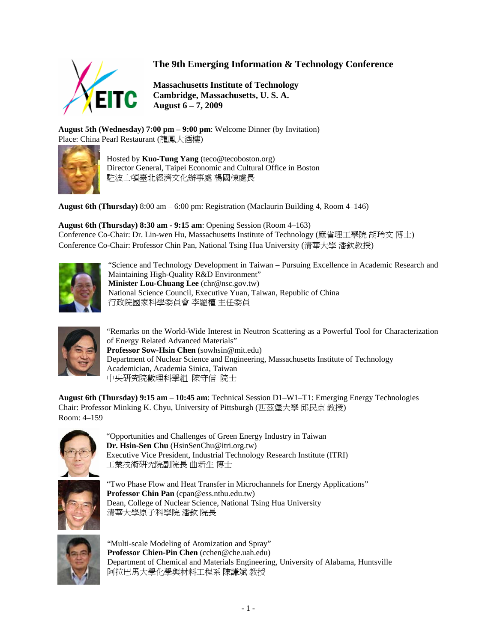

## **The 9th Emerging Information & Technology Conference**

**Massachusetts Institute of Technology Cambridge, Massachusetts, U. S. A. August 6 – 7, 2009**

**August 5th (Wednesday) 7:00 pm – 9:00 pm**: Welcome Dinner (by Invitation) Place: China Pearl Restaurant (龍鳳大酒樓)



Hosted by **Kuo-Tung Yang** (teco@tecoboston.org) Director General, Taipei Economic and Cultural Office in Boston 駐波士頓臺北經濟文化辦事處 楊國棟處長

**August 6th (Thursday)** 8:00 am – 6:00 pm: Registration (Maclaurin Building 4, Room 4–146)

**August 6th (Thursday) 8:30 am - 9:15 am**: Opening Session (Room 4–163) Conference Co-Chair: Dr. Lin-wen Hu, Massachusetts Institute of Technology (麻省理工學院 胡玲文 博士) Conference Co-Chair: Professor Chin Pan, National Tsing Hua University (清華大學 潘欽教授)



"Science and Technology Development in Taiwan – Pursuing Excellence in Academic Research and Maintaining High-Quality R&D Environment" **Minister Lou-Chuang Lee** (chr@nsc.gov.tw) National Science Council, Executive Yuan, Taiwan, Republic of China 行政院國家科學委員會 李羅權 主任委員



"Remarks on the World-Wide Interest in Neutron Scattering as a Powerful Tool for Characterization of Energy Related Advanced Materials" **Professor Sow-Hsin Chen** (sowhsin@mit.edu) Department of Nuclear Science and Engineering, Massachusetts Institute of Technology Academician, Academia Sinica, Taiwan 中央研究院數理科學組 陳守信 院士

**August 6th (Thursday) 9:15 am** – **10:45 am**: Technical Session D1–W1–T1: Emerging Energy Technologies Chair: Professor Minking K. Chyu, University of Pittsburgh (匹茲堡大學 邱民京 教授) Room: 4–159



"Opportunities and Challenges of Green Energy Industry in Taiwan **Dr. Hsin-Sen Chu** (HsinSenChu@itri.org.tw) Executive Vice President, Industrial Technology Research Institute (ITRI) 工業技術研究院副院長 曲新生 博士



"Two Phase Flow and Heat Transfer in Microchannels for Energy Applications" **Professor Chin Pan** (cpan@ess.nthu.edu.tw) Dean, College of Nuclear Science, National Tsing Hua University 清華大學原子科學院 潘欽 院長



"Multi-scale Modeling of Atomization and Spray" **Professor Chien-Pin Chen** (cchen@che.uah.edu) Department of Chemical and Materials Engineering, University of Alabama, Huntsville 阿拉巴馬大學化學與材料工程系 陳謙斌 教授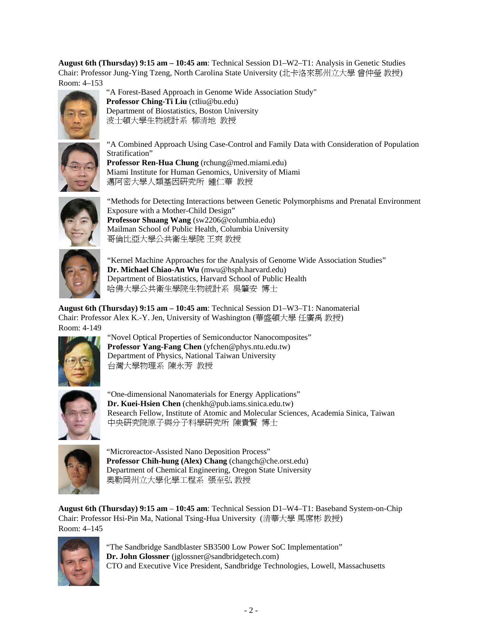**August 6th (Thursday) 9:15 am – 10:45 am**: Technical Session D1–W2–T1: Analysis in Genetic Studies Chair: Professor Jung-Ying Tzeng, North Carolina State University (北卡洛來那州立大學 曾仲瑩 教授) Room: 4–153



"A Forest-Based Approach in Genome Wide Association Study" **Professor Ching-Ti Liu** (ctliu@bu.edu) Department of Biostatistics, Boston University 波士頓大學生物統計系 柳清地 教授



"A Combined Approach Using Case-Control and Family Data with Consideration of Population Stratification"

**Professor Ren-Hua Chung** (rchung@med.miami.edu) Miami Institute for Human Genomics, University of Miami 邁阿密大學人類基因研究所 鍾仁華 教授



"Methods for Detecting Interactions between Genetic Polymorphisms and Prenatal Environment Exposure with a Mother-Child Design" **Professor Shuang Wang** (sw2206@columbia.edu) Mailman School of Public Health, Columbia University 哥倫比亞大學公共衛生學院 王爽 教授



"Kernel Machine Approaches for the Analysis of Genome Wide Association Studies" **Dr. Michael Chiao-An Wu** (mwu@hsph.harvard.edu) Department of Biostatistics, Harvard School of Public Health 哈佛大學公共衛生學院生物統計系 吳肇安 博士

**August 6th (Thursday) 9:15 am – 10:45 am**: Technical Session D1–W3–T1: Nanomaterial Chair: Professor Alex K.-Y. Jen, University of Washington (華盛頓大學 任廣禹 教授) Room: 4-149



"Novel Optical Properties of Semiconductor Nanocomposites" **Professor Yang-Fang Chen** (yfchen@phys.ntu.edu.tw) Department of Physics, National Taiwan University 台灣大學物理系 陳永芳 教授



"One-dimensional Nanomaterials for Energy Applications" **Dr. Kuei-Hsien Chen** (chenkh@pub.iams.sinica.edu.tw) Research Fellow, Institute of Atomic and Molecular Sciences, Academia Sinica, Taiwan 中央研究院原子與分子科學研究所 陳貴賢 博士



"Microreactor-Assisted Nano Deposition Process" **Professor Chih-hung (Alex) Chang** (changch@che.orst.edu) Department of Chemical Engineering, Oregon State University 奧勒岡州立大學化學工程系 張至弘 教授

**August 6th (Thursday) 9:15 am** – **10:45 am**: Technical Session D1–W4–T1: Baseband System-on-Chip Chair: Professor Hsi-Pin Ma, National Tsing-Hua University (清華大學 馬席彬 教授) Room: 4–145



"The Sandbridge Sandblaster SB3500 Low Power SoC Implementation" **Dr. John Glossner** (jglossner@sandbridgetech.com) CTO and Executive Vice President, Sandbridge Technologies, Lowell, Massachusetts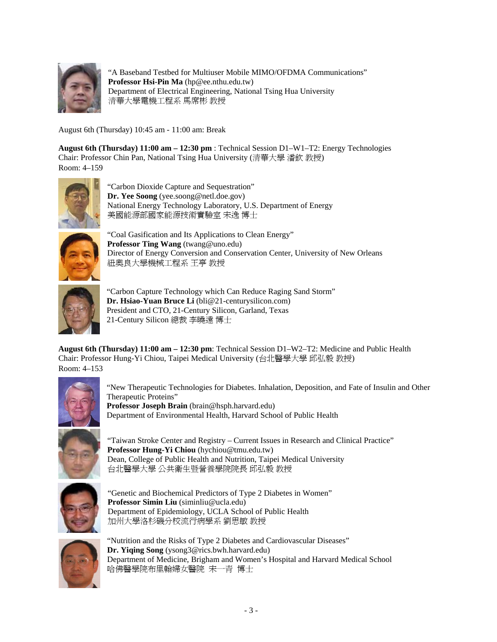

"A Baseband Testbed for Multiuser Mobile MIMO/OFDMA Communications" **Professor Hsi-Pin Ma** (hp@ee.nthu.edu.tw) Department of Electrical Engineering, National Tsing Hua University 清華大學電機工程系 馬席彬 教授

August 6th (Thursday) 10:45 am - 11:00 am: Break

**August 6th (Thursday) 11:00 am – 12:30 pm** : Technical Session D1–W1–T2: Energy Technologies Chair: Professor Chin Pan, National Tsing Hua University (清華大學 潘欽 教授) Room: 4–159



"Carbon Dioxide Capture and Sequestration" **Dr. Yee Soong** (yee.soong@netl.doe.gov) National Energy Technology Laboratory, U.S. Department of Energy 美國能源部國家能源技術實驗室 宋逸 博士



"Coal Gasification and Its Applications to Clean Energy" **Professor Ting Wang** (twang@uno.edu) Director of Energy Conversion and Conservation Center, University of New Orleans 紐奧良大學機械工程系 王亭 教授



"Carbon Capture Technology which Can Reduce Raging Sand Storm" **Dr. Hsiao-Yuan Bruce Li** (bli@21-centurysilicon.com) President and CTO, 21-Century Silicon, Garland, Texas 21-Century Silicon 總裁 李曉遠 博士

**August 6th (Thursday) 11:00 am – 12:30 pm**: Technical Session D1–W2–T2: Medicine and Public Health Chair: Professor Hung-Yi Chiou, Taipei Medical University (台北醫學大學 邱弘毅 教授) Room: 4–153



"New Therapeutic Technologies for Diabetes. Inhalation, Deposition, and Fate of Insulin and Other Therapeutic Proteins" **Professor Joseph Brain** (brain@hsph.harvard.edu) Department of Environmental Health, Harvard School of Public Health



"Taiwan Stroke Center and Registry – Current Issues in Research and Clinical Practice" **Professor Hung-Yi Chiou** (hychiou@tmu.edu.tw) Dean, College of Public Health and Nutrition, Taipei Medical University 台北醫學大學 公共衛生暨營養學院院長 邱弘毅 教授



"Genetic and Biochemical Predictors of Type 2 Diabetes in Women" **Professor Simin Liu** (siminliu@ucla.edu) Department of Epidemiology, UCLA School of Public Health 加州大學洛杉磯分校流行病學系 劉思敏 教授



"Nutrition and the Risks of Type 2 Diabetes and Cardiovascular Diseases" **Dr. Yiqing Song** (ysong3@rics.bwh.harvard.edu) Department of Medicine, Brigham and Women's Hospital and Harvard Medical School 哈佛醫學院布里翰婦女醫院 宋一青 博士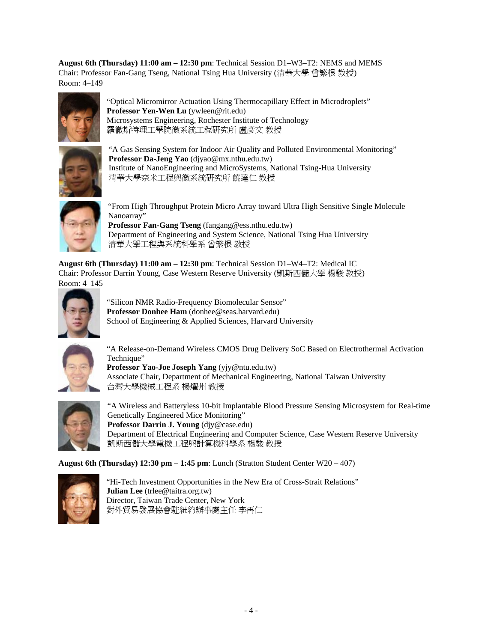**August 6th (Thursday) 11:00 am – 12:30 pm**: Technical Session D1–W3–T2: NEMS and MEMS Chair: Professor Fan-Gang Tseng, National Tsing Hua University (清華大學 曾繁根 教授) Room: 4–149



"Optical Micromirror Actuation Using Thermocapillary Effect in Microdroplets" **Professor Yen-Wen Lu** (ywleen@rit.edu) Microsystems Engineering, Rochester Institute of Technology 羅徹斯特理工學院微系統工程研究所 盧彥文 教授



"A Gas Sensing System for Indoor Air Quality and Polluted Environmental Monitoring" **Professor Da-Jeng Yao** (djyao@mx.nthu.edu.tw) Institute of NanoEngineering and MicroSystems, National Tsing-Hua University 清華大學奈米工程與微系統研究所 饒達仁 教授



"From High Throughput Protein Micro Array toward Ultra High Sensitive Single Molecule Nanoarray" **Professor Fan-Gang Tseng** (fangang@ess.nthu.edu.tw) Department of Engineering and System Science, National Tsing Hua University 清華大學工程與系統科學系 曾繁根 教授

**August 6th (Thursday) 11:00 am – 12:30 pm**: Technical Session D1–W4–T2: Medical IC Chair: Professor Darrin Young, Case Western Reserve University (凱斯西儲大學 楊駿 教授) Room: 4–145



"Silicon NMR Radio-Frequency Biomolecular Sensor" **Professor Donhee Ham** (donhee@seas.harvard.edu) School of Engineering & Applied Sciences, Harvard University



"A Release-on-Demand Wireless CMOS Drug Delivery SoC Based on Electrothermal Activation Technique" **Professor Yao-Joe Joseph Yang** (yjy@ntu.edu.tw)

Associate Chair, Department of Mechanical Engineering, National Taiwan University 台灣大學機械工程系 楊燿州 教授



"A Wireless and Batteryless 10-bit Implantable Blood Pressure Sensing Microsystem for Real-time Genetically Engineered Mice Monitoring" **Professor Darrin J. Young** (djy@case.edu) Department of Electrical Engineering and Computer Science, Case Western Reserve University 凱斯西儲大學電機工程與計算機科學系 楊駿 教授

**August 6th (Thursday) 12:30 pm** – **1:45 pm**: Lunch (Stratton Student Center W20 – 407)



"Hi-Tech Investment Opportunities in the New Era of Cross-Strait Relations" **Julian Lee** (trlee@taitra.org.tw) Director, Taiwan Trade Center, New York 對外貿易發展協會駐紐約辦事處主任 李再仁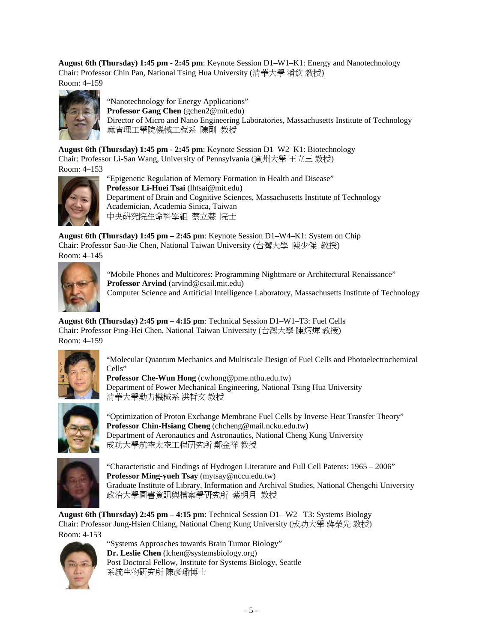**August 6th (Thursday) 1:45 pm - 2:45 pm**: Keynote Session D1–W1–K1: Energy and Nanotechnology Chair: Professor Chin Pan, National Tsing Hua University (清華大學 潘欽 教授) Room: 4–159





"Nanotechnology for Energy Applications" **Professor Gang Chen** (gchen2@mit.edu) Director of Micro and Nano Engineering Laboratories, Massachusetts Institute of Technology 麻省理工學院機械工程系 陳剛 教授

**August 6th (Thursday) 1:45 pm - 2:45 pm**: Keynote Session D1–W2–K1: Biotechnology Chair: Professor Li-San Wang, University of Pennsylvania (賓州大學 王立三 教授) Room: 4–153



"Epigenetic Regulation of Memory Formation in Health and Disease" **Professor Li-Huei Tsai** (lhtsai@mit.edu) Department of Brain and Cognitive Sciences, Massachusetts Institute of Technology Academician, Academia Sinica, Taiwan 中央研究院生命科學組 蔡立慧 院士

**August 6th (Thursday) 1:45 pm – 2:45 pm**: Keynote Session D1–W4–K1: System on Chip Chair: Professor Sao-Jie Chen, National Taiwan University (台灣大學 陳少傑 教授) Room: 4–145



"Mobile Phones and Multicores: Programming Nightmare or Architectural Renaissance" **Professor Arvind** (arvind@csail.mit.edu) Computer Science and Artificial Intelligence Laboratory, Massachusetts Institute of Technology

**August 6th (Thursday) 2:45 pm – 4:15 pm**: Technical Session D1–W1–T3: Fuel Cells Chair: Professor Ping-Hei Chen, National Taiwan University (台灣大學 陳炳煇 教授) Room: 4–159



"Molecular Quantum Mechanics and Multiscale Design of Fuel Cells and Photoelectrochemical Cells"

**Professor Che-Wun Hong** (cwhong@pme.nthu.edu.tw) Department of Power Mechanical Engineering, National Tsing Hua University 清華大學動力機械系 洪哲文 教授



"Optimization of Proton Exchange Membrane Fuel Cells by Inverse Heat Transfer Theory" **Professor Chin-Hsiang Cheng** (chcheng@mail.ncku.edu.tw) Department of Aeronautics and Astronautics, National Cheng Kung University 成功大學航空太空工程研究所 鄭金祥 教授



"Characteristic and Findings of Hydrogen Literature and Full Cell Patents: 1965 – 2006" **Professor Ming-yueh Tsay** (mytsay@nccu.edu.tw) Graduate Institute of Library, Information and Archival Studies, National Chengchi University 政治大學圖書資訊與檔案學研究所 蔡明月 教授

**August 6th (Thursday) 2:45 pm – 4:15 pm**: Technical Session D1– W2– T3: Systems Biology Chair: Professor Jung-Hsien Chiang, National Cheng Kung University (成功大學 蔣榮先 教授) Room: 4-153



"Systems Approaches towards Brain Tumor Biology" **Dr. Leslie Chen** (lchen@systemsbiology.org) Post Doctoral Fellow, Institute for Systems Biology, Seattle 系統生物研究所 陳彥瑜博士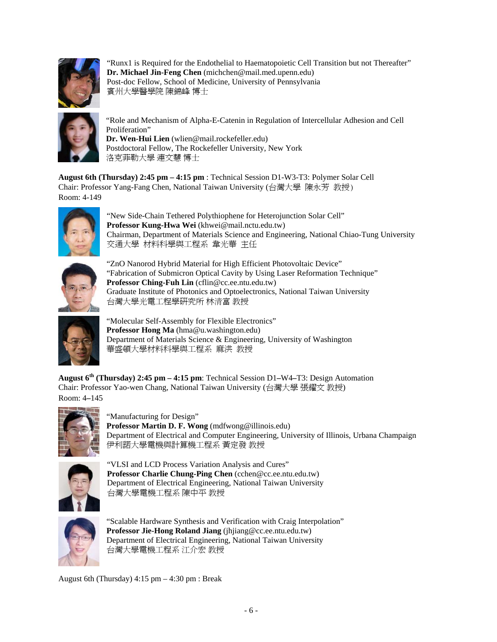

"Runx1 is Required for the Endothelial to Haematopoietic Cell Transition but not Thereafter" **Dr. Michael Jin-Feng Chen** (michchen@mail.med.upenn.edu) Post-doc Fellow, School of Medicine, University of Pennsylvania 賓州大學醫學院 陳錦峰 博士



"Role and Mechanism of Alpha-E-Catenin in Regulation of Intercellular Adhesion and Cell Proliferation" **Dr. Wen-Hui Lien** (wlien@mail.rockefeller.edu)

Postdoctoral Fellow, The Rockefeller University, New York 洛克菲勒大學 連文慧 博士

**August 6th (Thursday) 2:45 pm – 4:15 pm** : Technical Session D1-W3-T3: Polymer Solar Cell Chair: Professor Yang-Fang Chen, National Taiwan University (台灣大學 陳永芳 教授) Room: 4-149



"New Side-Chain Tethered Polythiophene for Heterojunction Solar Cell" **Professor Kung-Hwa Wei** (khwei@mail.nctu.edu.tw) Chairman, Department of Materials Science and Engineering, National Chiao-Tung University 交通大學 材料科學與工程系 韋光華 主任



"ZnO Nanorod Hybrid Material for High Efficient Photovoltaic Device" "Fabrication of Submicron Optical Cavity by Using Laser Reformation Technique" **Professor Ching-Fuh Lin** (cflin@cc.ee.ntu.edu.tw) Graduate Institute of Photonics and Optoelectronics, National Taiwan University 台灣大學光電工程學研究所 林清富 教授



"Molecular Self-Assembly for Flexible Electronics" **Professor Hong Ma** (hma@u.washington.edu) Department of Materials Science & Engineering, University of Washington 華盛頓大學材料科學與工程系 麻洪 教授

**August 6th (Thursday) 2:45 pm – 4:15 pm**: Technical Session D1**–**W4**–**T3: Design Automation Chair: Professor Yao-wen Chang, National Taiwan University (台灣大學 張耀文 教授) Room: 4**–**145



"Manufacturing for Design"

**Professor Martin D. F. Wong** (mdfwong@illinois.edu) Department of Electrical and Computer Engineering, University of Illinois, Urbana Champaign 伊利諾大學電機與計算機工程系 黃定發 教授



"VLSI and LCD Process Variation Analysis and Cures" **Professor Charlie Chung-Ping Chen** (cchen@cc.ee.ntu.edu.tw) Department of Electrical Engineering, National Taiwan University 台灣大學電機工程系 陳中平 教授



"Scalable Hardware Synthesis and Verification with Craig Interpolation" **Professor Jie-Hong Roland Jiang** (jhjiang@cc.ee.ntu.edu.tw) Department of Electrical Engineering, National Taiwan University 台灣大學電機工程系 江介宏 教授

August 6th (Thursday)  $4:15 \text{ pm} - 4:30 \text{ pm}$ : Break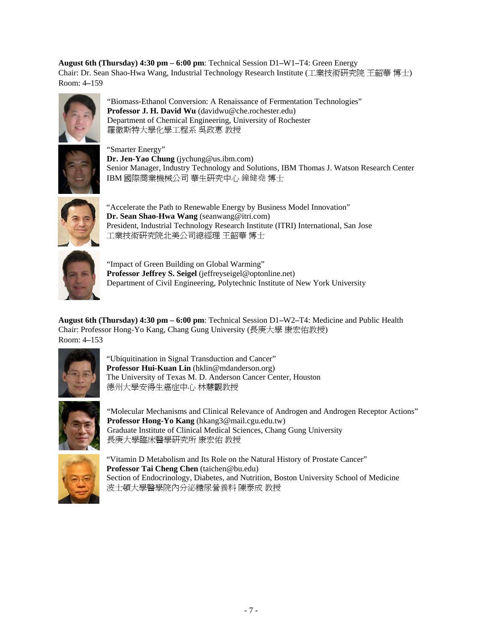**August 6th (Thursday) 4:30 pm – 6:00 pm**: Technical Session D1**–**W1**–**T4: Green Energy Chair: Dr. Sean Shao-Hwa Wang, Industrial Technology Research Institute (工業技術研究院 王韶華 博士) Room: 4**–**159



"Biomass-Ethanol Conversion: A Renaissance of Fermentation Technologies" **Professor J. H. David Wu** (davidwu@che.rochester.edu) Department of Chemical Engineering, University of Rochester 羅徹斯特大學化學工程系 吳政惠 教授



"Smarter Energy" **Dr. Jen-Yao Chung** (jychung@us.ibm.com) Senior Manager, Industry Technology and Solutions, IBM Thomas J. Watson Research Center IBM 國際商業機械公司 華生研究中心 鐘健堯 博士



"Accelerate the Path to Renewable Energy by Business Model Innovation" **Dr. Sean Shao-Hwa Wang** (seanwang@itri.com) President, Industrial Technology Research Institute (ITRI) International, San Jose 工業技術研究院北美公司總經理 王韶華 博士



"Impact of Green Building on Global Warming" **Professor Jeffrey S. Seigel** (jeffreyseigel@optonline.net) Department of Civil Engineering, Polytechnic Institute of New York University

**August 6th (Thursday) 4:30 pm – 6:00 pm**: Technical Session D1**–**W2**–**T4: Medicine and Public Health Chair: Professor Hong-Yo Kang, Chang Gung University (長庚大學 康宏佑教授) Room: 4**–**153



"Ubiquitination in Signal Transduction and Cancer" **Professor Hui-Kuan Lin** (hklin@mdanderson.org) The University of Texas M. D. Anderson Cancer Center, Houston 德州大學安得生癌症中心 林慧觀教授



"Molecular Mechanisms and Clinical Relevance of Androgen and Androgen Receptor Actions" **Professor Hong-Yo Kang** (hkang3@mail.cgu.edu.tw) Graduate Institute of Clinical Medical Sciences, Chang Gung University 長庚大學臨床醫學研究所 康宏佑 教授



"Vitamin D Metabolism and Its Role on the Natural History of Prostate Cancer" **Professor Tai Cheng Chen** (taichen@bu.edu) Section of Endocrinology, Diabetes, and Nutrition, Boston University School of Medicine 波士頓大學醫學院內分泌糖尿營養科 陳泰成 教授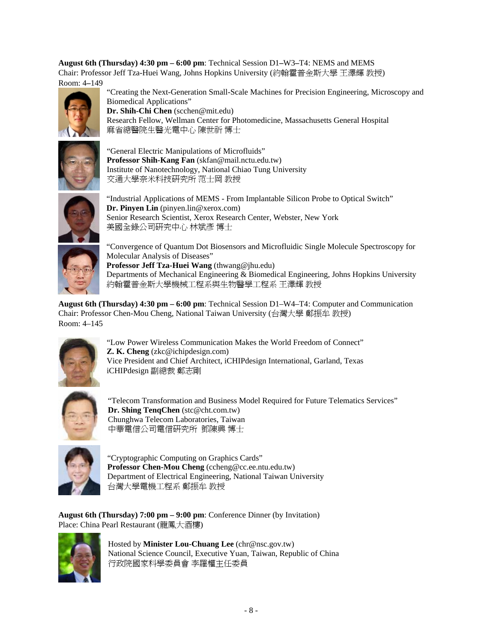**August 6th (Thursday) 4:30 pm – 6:00 pm**: Technical Session D1**–**W3**–**T4: NEMS and MEMS Chair: Professor Jeff Tza-Huei Wang, Johns Hopkins University (約翰霍普金斯大學 王澤輝 教授) Room: 4**–**149



"Creating the Next-Generation Small-Scale Machines for Precision Engineering, Microscopy and Biomedical Applications" **Dr. Shih-Chi Chen** (scchen@mit.edu) Research Fellow, Wellman Center for Photomedicine, Massachusetts General Hospital 麻省總醫院生醫光電中心 陳世祈 博士



"General Electric Manipulations of Microfluids" **Professor Shih-Kang Fan** (skfan@mail.nctu.edu.tw) Institute of Nanotechnology, National Chiao Tung University 交通大學奈米科技研究所 范士岡 教授



"Industrial Applications of MEMS - From Implantable Silicon Probe to Optical Switch" **Dr. Pinyen Lin** (pinyen.lin@xerox.com) Senior Research Scientist, Xerox Research Center, Webster, New York 美國全錄公司研究中心 林斌彥 博士



"Convergence of Quantum Dot Biosensors and Microfluidic Single Molecule Spectroscopy for Molecular Analysis of Diseases" **Professor Jeff Tza-Huei Wang** (thwang@jhu.edu) Departments of Mechanical Engineering & Biomedical Engineering, Johns Hopkins University 約翰霍普金斯大學機械工程系與生物醫學工程系 王澤輝 教授

**August 6th (Thursday) 4:30 pm – 6:00 pm**: Technical Session D1–W4–T4: Computer and Communication Chair: Professor Chen-Mou Cheng, National Taiwan University (台灣大學 鄭振牟 教授) Room: 4–145



"Low Power Wireless Communication Makes the World Freedom of Connect" **Z. K. Cheng** (zkc@ichipdesign.com) Vice President and Chief Architect, iCHIPdesign International, Garland, Texas iCHIPdesign 副總裁 鄭志剛



"Telecom Transformation and Business Model Required for Future Telematics Services" **Dr. Shing TenqChen** (stc@cht.com.tw) Chunghwa Telecom Laboratories, Taiwan 中華電信公司電信研究所 鄧陳興 博士



"Cryptographic Computing on Graphics Cards" **Professor Chen-Mou Cheng** (ccheng@cc.ee.ntu.edu.tw) Department of Electrical Engineering, National Taiwan University 台灣大學電機工程系 鄭振牟 教授

**August 6th (Thursday) 7:00 pm – 9:00 pm**: Conference Dinner (by Invitation) Place: China Pearl Restaurant (龍鳳大酒樓)



Hosted by **Minister Lou-Chuang Lee** (chr@nsc.gov.tw) National Science Council, Executive Yuan, Taiwan, Republic of China 行政院國家科學委員會 李羅權主任委員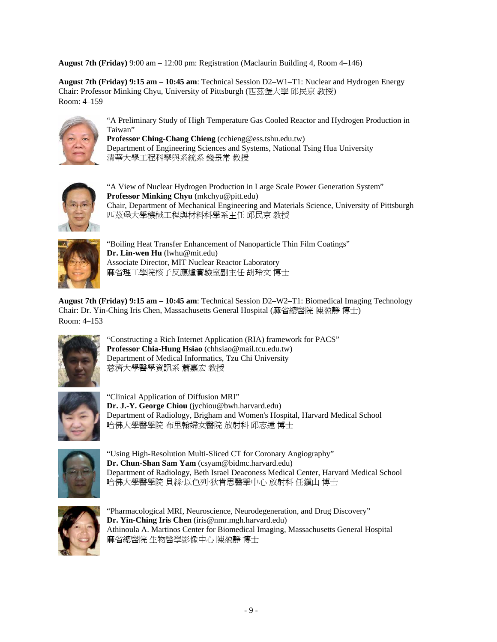**August 7th (Friday)** 9:00 am – 12:00 pm: Registration (Maclaurin Building 4, Room 4–146)

**August 7th (Friday) 9:15 am** – **10:45 am**: Technical Session D2–W1–T1: Nuclear and Hydrogen Energy Chair: Professor Minking Chyu, University of Pittsburgh (匹茲堡大學 邱民京 教授) Room: 4–159



"A Preliminary Study of High Temperature Gas Cooled Reactor and Hydrogen Production in Taiwan"

**Professor Ching-Chang Chieng** (cchieng@ess.tshu.edu.tw) Department of Engineering Sciences and Systems, National Tsing Hua University 清華大學工程科學與系統系 錢景常 教授



"A View of Nuclear Hydrogen Production in Large Scale Power Generation System" **Professor Minking Chyu** (mkchyu@pitt.edu) Chair, Department of Mechanical Engineering and Materials Science, University of Pittsburgh 匹茲堡大學機械工程與材料科學系主任 邱民京 教授



"Boiling Heat Transfer Enhancement of Nanoparticle Thin Film Coatings" **Dr. Lin-wen Hu** (lwhu@mit.edu) Associate Director, MIT Nuclear Reactor Laboratory 麻省理工學院核子反應爐實驗室副主任 胡玲文 博士

**August 7th (Friday) 9:15 am** – **10:45 am**: Technical Session D2–W2–T1: Biomedical Imaging Technology Chair: Dr. Yin-Ching Iris Chen, Massachusetts General Hospital (麻省總醫院 陳盈靜 博士) Room: 4–153



"Constructing a Rich Internet Application (RIA) framework for PACS" **Professor Chia-Hung Hsiao** (chhsiao@mail.tcu.edu.tw) Department of Medical Informatics, Tzu Chi University 慈濟大學醫學資訊系 蕭嘉宏 教授



"Clinical Application of Diffusion MRI" **Dr. J.-Y. George Chiou** (jychiou@bwh.harvard.edu) Department of Radiology, Brigham and Women's Hospital, Harvard Medical School 哈佛大學醫學院 布里翰婦女醫院 放射科 邱志遠 博士



"Using High-Resolution Multi-Sliced CT for Coronary Angiography" **Dr. Chun-Shan Sam Yam** (csyam@bidmc.harvard.edu) Department of Radiology, Beth Israel Deaconess Medical Center, Harvard Medical School 哈佛大學醫學院 貝絲·以色列·狄肯思醫學中心 放射科 任鎮山 博士



"Pharmacological MRI, Neuroscience, Neurodegeneration, and Drug Discovery" **Dr. Yin-Ching Iris Chen** (iris@nmr.mgh.harvard.edu) Athinoula A. Martinos Center for Biomedical Imaging, Massachusetts General Hospital 麻省總醫院 生物醫學影像中心 陳盈靜 博士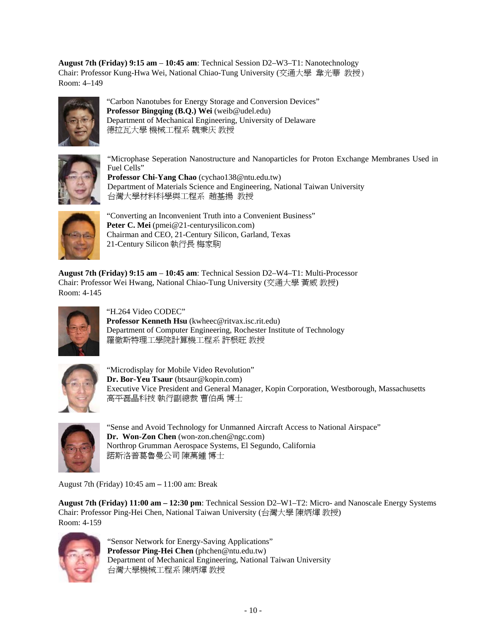**August 7th (Friday) 9:15 am** – **10:45 am**: Technical Session D2–W3–T1: Nanotechnology Chair: Professor Kung-Hwa Wei, National Chiao-Tung University (交通大學 韋光華 教授) Room: 4–149



"Carbon Nanotubes for Energy Storage and Conversion Devices" **Professor Bingqing (B.Q.) Wei** (weib@udel.edu) Department of Mechanical Engineering, University of Delaware 德拉瓦大學 機械工程系 魏秉庆 教授



"Microphase Seperation Nanostructure and Nanoparticles for Proton Exchange Membranes Used in Fuel Cells" **Professor Chi-Yang Chao** (cychao138@ntu.edu.tw)

Department of Materials Science and Engineering, National Taiwan University 台灣大學材料科學與工程系 趙基揚 教授



"Converting an Inconvenient Truth into a Convenient Business" Peter C. Mei (pmei@21-centurysilicon.com) Chairman and CEO, 21-Century Silicon, Garland, Texas 21-Century Silicon 執行長 梅家駒

**August 7th (Friday) 9:15 am** – **10:45 am**: Technical Session D2–W4–T1: Multi-Processor Chair: Professor Wei Hwang, National Chiao-Tung University (交通大學 黃威 教授) Room: 4-145



"H.264 Video CODEC" **Professor Kenneth Hsu** (kwheec@ritvax.isc.rit.edu) Department of Computer Engineering, Rochester Institute of Technology 羅徹斯特理工學院計算機工程系 許根旺 教授



"Microdisplay for Mobile Video Revolution" **Dr. Bor-Yeu Tsaur** (btsaur@kopin.com) Executive Vice President and General Manager, Kopin Corporation, Westborough, Massachusetts 高平磊晶科技 執行副總裁 曹伯禹 博士



"Sense and Avoid Technology for Unmanned Aircraft Access to National Airspace" **Dr. Won-Zon Chen** (won-zon.chen@ngc.com) Northrop Grumman Aerospace Systems, El Segundo, California 諾斯洛普葛魯曼公司 陳萬鍾 博士

August 7th (Friday) 10:45 am **–** 11:00 am: Break

**August 7th (Friday) 11:00 am – 12:30 pm**: Technical Session D2–W1–T2: Micro- and Nanoscale Energy Systems Chair: Professor Ping-Hei Chen, National Taiwan University (台灣大學 陳炳煇 教授) Room: 4-159



"Sensor Network for Energy-Saving Applications" **Professor Ping-Hei Chen** (phchen@ntu.edu.tw) Department of Mechanical Engineering, National Taiwan University 台灣大學機械工程系 陳炳煇 教授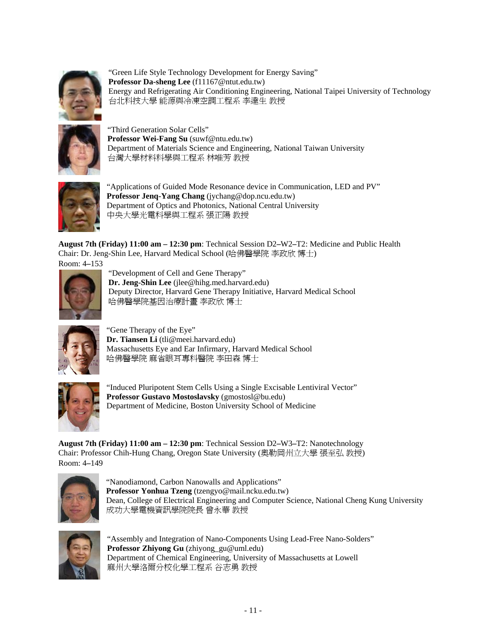

"Green Life Style Technology Development for Energy Saving" **Professor Da-sheng Lee** (f11167@ntut.edu.tw) Energy and Refrigerating Air Conditioning Engineering, National Taipei University of Technology 台北科技大學 能源與冷凍空調工程系 李達生 教授



"Third Generation Solar Cells" **Professor Wei-Fang Su** (suwf@ntu.edu.tw) Department of Materials Science and Engineering, National Taiwan University 台灣大學材料科學與工程系 林唯芳 教授



"Applications of Guided Mode Resonance device in Communication, LED and PV" **Professor Jenq-Yang Chang** (jychang@dop.ncu.edu.tw) Department of Optics and Photonics, National Central University 中央大學光電科學與工程系 張正陽 教授

**August 7th (Friday) 11:00 am – 12:30 pm**: Technical Session D2**–**W2**–**T2: Medicine and Public Health Chair: Dr. Jeng-Shin Lee, Harvard Medical School (哈佛醫學院 李政欣 博士) Room: 4**–**153



"Development of Cell and Gene Therapy" **Dr. Jeng-Shin Lee** (jlee@hihg.med.harvard.edu) Deputy Director, Harvard Gene Therapy Initiative, Harvard Medical School 哈佛醫學院基因治療計畫 李政欣 博士



"Gene Therapy of the Eye" **Dr. Tiansen Li** (tli@meei.harvard.edu) Massachusetts Eye and Ear Infirmary, Harvard Medical School 哈佛醫學院 麻省眼耳專科醫院 李田森 博士



"Induced Pluripotent Stem Cells Using a Single Excisable Lentiviral Vector" **Professor Gustavo Mostoslavsky** (gmostosl@bu.edu) Department of Medicine, Boston University School of Medicine

**August 7th (Friday) 11:00 am – 12:30 pm**: Technical Session D2**–**W3**–**T2: Nanotechnology Chair: Professor Chih-Hung Chang, Oregon State University (奧勒岡州立大學 張至弘 教授) Room: 4**–**149



"Nanodiamond, Carbon Nanowalls and Applications" **Professor Yonhua Tzeng** (tzengyo@mail.ncku.edu.tw) Dean, College of Electrical Engineering and Computer Science, National Cheng Kung University 成功大學電機資訊學院院長 曾永華 教授



"Assembly and Integration of Nano-Components Using Lead-Free Nano-Solders" **Professor Zhiyong Gu** (zhiyong\_gu@uml.edu) Department of Chemical Engineering, University of Massachusetts at Lowell 麻州大學洛爾分校化學工程系 谷志勇 教授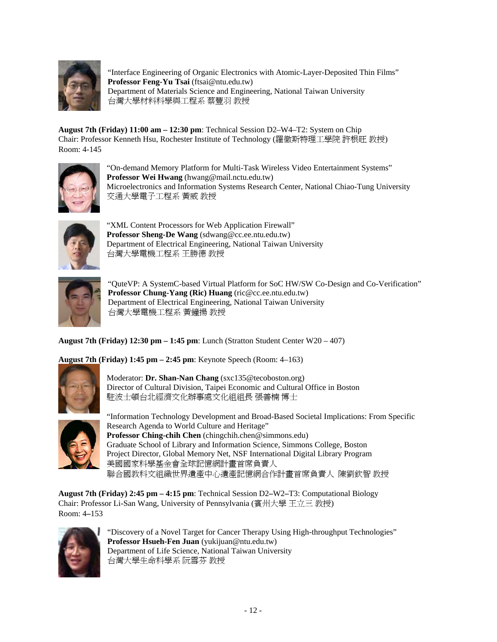

"Interface Engineering of Organic Electronics with Atomic-Layer-Deposited Thin Films" **Professor Feng-Yu Tsai** (ftsai@ntu.edu.tw) Department of Materials Science and Engineering, National Taiwan University 台灣大學材料科學與工程系 蔡豐羽 教授

**August 7th (Friday) 11:00 am – 12:30 pm**: Technical Session D2–W4–T2: System on Chip Chair: Professor Kenneth Hsu, Rochester Institute of Technology (羅徹斯特理工學院 許根旺 教授) Room: 4-145



"On-demand Memory Platform for Multi-Task Wireless Video Entertainment Systems" **Professor Wei Hwang** (hwang@mail.nctu.edu.tw) Microelectronics and Information Systems Research Center, National Chiao-Tung University 交通大學電子工程系 黃威 教授



"XML Content Processors for Web Application Firewall" **Professor Sheng-De Wang** (sdwang@cc.ee.ntu.edu.tw) Department of Electrical Engineering, National Taiwan University 台灣大學電機工程系 王勝德 教授



"QuteVP: A SystemC-based Virtual Platform for SoC HW/SW Co-Design and Co-Verification" **Professor Chung-Yang (Ric) Huang** (ric@cc.ee.ntu.edu.tw) Department of Electrical Engineering, National Taiwan University 台灣大學電機工程系 黃鐘揚 教授

**August 7th (Friday) 12:30 pm – 1:45 pm**: Lunch (Stratton Student Center W20 – 407)

**August 7th (Friday) 1:45 pm – 2:45 pm**: Keynote Speech (Room: 4–163)



Moderator: **Dr. Shan-Nan Chang** (sxc135@tecoboston.org) Director of Cultural Division, Taipei Economic and Cultural Office in Boston 駐波士頓台北經濟文化辦事處文化組組長 張善楠 博士



"Information Technology Development and Broad-Based Societal Implications: From Specific Research Agenda to World Culture and Heritage" **Professor Ching-chih Chen** (chingchih.chen@simmons.edu) Graduate School of Library and Information Science, Simmons College, Boston Project Director, Global Memory Net, NSF International Digital Library Program 美國國家科學基金會全球記憶網計畫首席負責人 聯合國教科文組織世界遺產中心遺產記憶網合作計畫首席負責人 陳劉欽智 教授

**August 7th (Friday) 2:45 pm – 4:15 pm**: Technical Session D2**–**W2**–**T3: Computational Biology Chair: Professor Li-San Wang, University of Pennsylvania (賓州大學 王立三 教授) Room: 4**–**153



"Discovery of a Novel Target for Cancer Therapy Using High-throughput Technologies" **Professor Hsueh-Fen Juan** (yukijuan@ntu.edu.tw) Department of Life Science, National Taiwan University 台灣大學生命科學系 阮雪芬 教授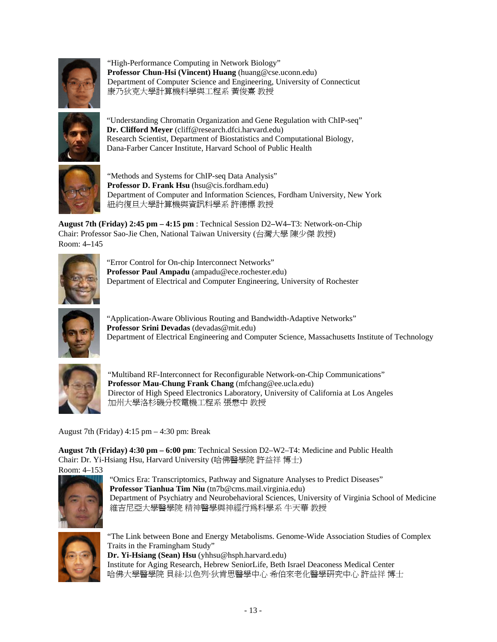

"High-Performance Computing in Network Biology" **Professor Chun-Hsi (Vincent) Huang** (huang@cse.uconn.edu) Department of Computer Science and Engineering, University of Connecticut 康乃狄克大學計算機科學與工程系 黃俊熹 教授



"Understanding Chromatin Organization and Gene Regulation with ChIP-seq" **Dr. Clifford Meyer** (cliff@research.dfci.harvard.edu) Research Scientist, Department of Biostatistics and Computational Biology, Dana-Farber Cancer Institute, Harvard School of Public Health



"Methods and Systems for ChIP-seq Data Analysis" **Professor D. Frank Hsu** (hsu@cis.fordham.edu) Department of Computer and Information Sciences, Fordham University, New York 紐約復旦大學計算機與資訊科學系 許德標 教授

**August 7th (Friday) 2:45 pm – 4:15 pm** : Technical Session D2**–**W4**–**T3: Network-on-Chip Chair: Professor Sao-Jie Chen, National Taiwan University (台灣大學 陳少傑 教授) Room: 4**–**145



"Error Control for On-chip Interconnect Networks" **Professor Paul Ampadu** (ampadu@ece.rochester.edu) Department of Electrical and Computer Engineering, University of Rochester



"Application-Aware Oblivious Routing and Bandwidth-Adaptive Networks" **Professor Srini Devadas** (devadas@mit.edu) Department of Electrical Engineering and Computer Science, Massachusetts Institute of Technology



"Multiband RF-Interconnect for Reconfigurable Network-on-Chip Communications" **Professor Mau-Chung Frank Chang** (mfchang@ee.ucla.edu) Director of High Speed Electronics Laboratory, University of California at Los Angeles 加州大學洛杉磯分校電機工程系 張懋中 教授

August 7th (Friday) 4:15 pm – 4:30 pm: Break

**August 7th (Friday) 4:30 pm – 6:00 pm**: Technical Session D2–W2–T4: Medicine and Public Health Chair: Dr. Yi-Hsiang Hsu, Harvard University (哈佛醫學院 許益祥 博士) Room: 4–153



"Omics Era: Transcriptomics, Pathway and Signature Analyses to Predict Diseases" **Professor Tianhua Tim Niu** (tn7b@cms.mail.virginia.edu) Department of Psychiatry and Neurobehavioral Sciences, University of Virginia School of Medicine 維吉尼亞大學醫學院 精神醫學與神經行為科學系 牛天華 教授



"The Link between Bone and Energy Metabolisms. Genome-Wide Association Studies of Complex Traits in the Framingham Study" **Dr. Yi-Hsiang (Sean) Hsu** (yhhsu@hsph.harvard.edu) Institute for Aging Research, Hebrew SeniorLife, Beth Israel Deaconess Medical Center 哈佛大學醫學院 貝絲·以色列·狄肯思醫學中心 希伯來老化醫學研究中心 許益祥 博士